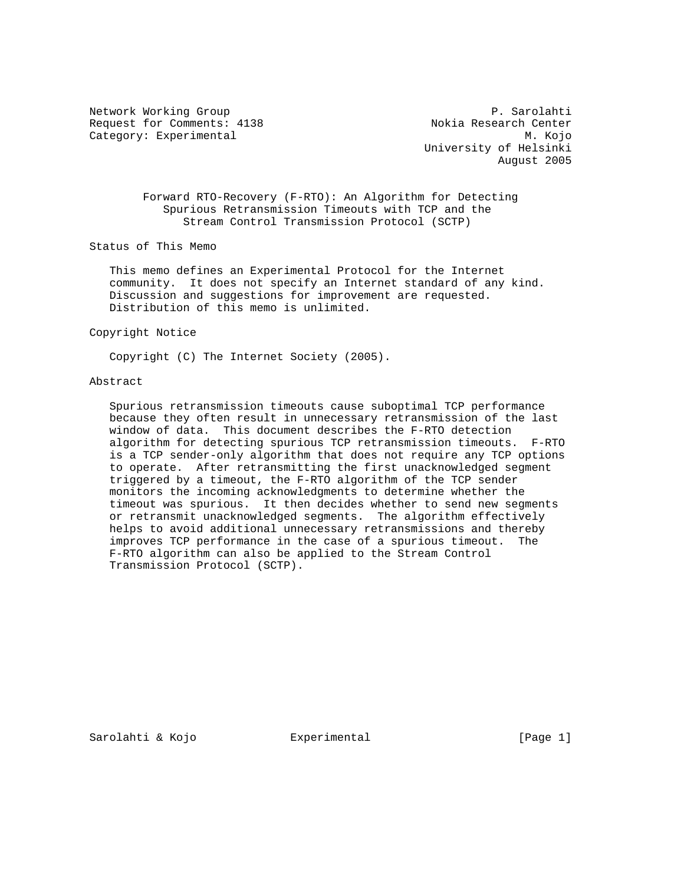Network Working Group **P. Sarolahti** Request for Comments: 4138 Nokia Research Center Category: Experimental M. Kojo

 University of Helsinki August 2005

 Forward RTO-Recovery (F-RTO): An Algorithm for Detecting Spurious Retransmission Timeouts with TCP and the Stream Control Transmission Protocol (SCTP)

Status of This Memo

 This memo defines an Experimental Protocol for the Internet community. It does not specify an Internet standard of any kind. Discussion and suggestions for improvement are requested. Distribution of this memo is unlimited.

Copyright Notice

Copyright (C) The Internet Society (2005).

### Abstract

 Spurious retransmission timeouts cause suboptimal TCP performance because they often result in unnecessary retransmission of the last window of data. This document describes the F-RTO detection algorithm for detecting spurious TCP retransmission timeouts. F-RTO is a TCP sender-only algorithm that does not require any TCP options to operate. After retransmitting the first unacknowledged segment triggered by a timeout, the F-RTO algorithm of the TCP sender monitors the incoming acknowledgments to determine whether the timeout was spurious. It then decides whether to send new segments or retransmit unacknowledged segments. The algorithm effectively helps to avoid additional unnecessary retransmissions and thereby improves TCP performance in the case of a spurious timeout. The F-RTO algorithm can also be applied to the Stream Control Transmission Protocol (SCTP).

Sarolahti & Kojo  $\Box$  Experimental  $[Page 1]$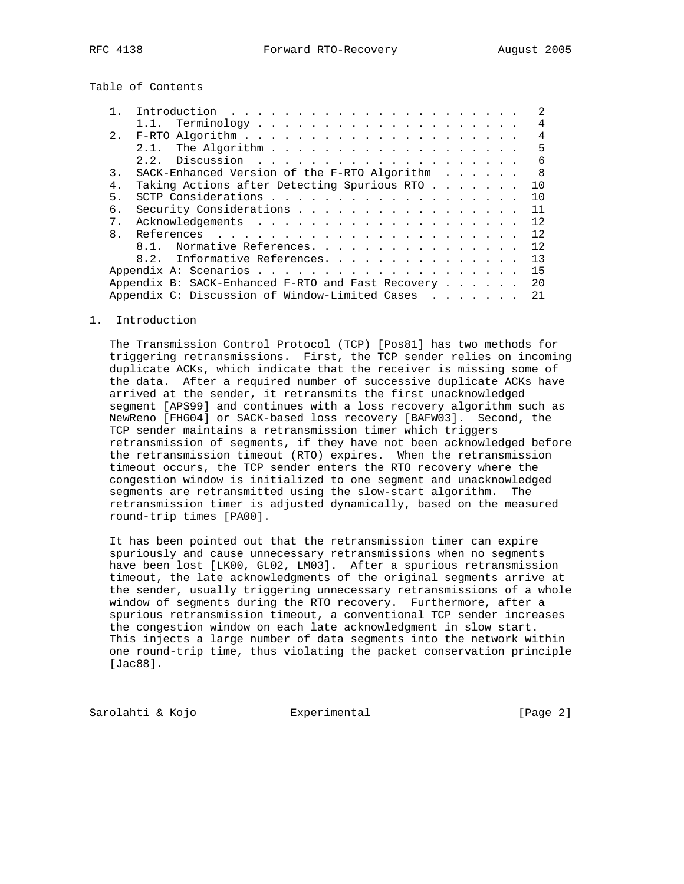Table of Contents

|                |                                                   |  |  |  | $\mathcal{L}$  |
|----------------|---------------------------------------------------|--|--|--|----------------|
|                |                                                   |  |  |  | 4              |
|                |                                                   |  |  |  | $\overline{4}$ |
|                |                                                   |  |  |  | 5              |
|                | 2.2.                                              |  |  |  | 6              |
| 3.             | SACK-Enhanced Version of the F-RTO Algorithm 8    |  |  |  |                |
| 4.             | Taking Actions after Detecting Spurious RTO 10    |  |  |  |                |
| 5.             |                                                   |  |  |  | 10             |
| б.             | Security Considerations 11                        |  |  |  |                |
| 7 <sub>1</sub> |                                                   |  |  |  |                |
| 8 <sub>1</sub> |                                                   |  |  |  |                |
|                | 8.1. Normative References. 12                     |  |  |  |                |
|                | Informative References. 13<br>8.2.                |  |  |  |                |
|                |                                                   |  |  |  | 15             |
|                | Appendix B: SACK-Enhanced F-RTO and Fast Recovery |  |  |  | 20             |
|                | Appendix C: Discussion of Window-Limited Cases    |  |  |  | 21             |

1. Introduction

 The Transmission Control Protocol (TCP) [Pos81] has two methods for triggering retransmissions. First, the TCP sender relies on incoming duplicate ACKs, which indicate that the receiver is missing some of the data. After a required number of successive duplicate ACKs have arrived at the sender, it retransmits the first unacknowledged segment [APS99] and continues with a loss recovery algorithm such as NewReno [FHG04] or SACK-based loss recovery [BAFW03]. Second, the TCP sender maintains a retransmission timer which triggers retransmission of segments, if they have not been acknowledged before the retransmission timeout (RTO) expires. When the retransmission timeout occurs, the TCP sender enters the RTO recovery where the congestion window is initialized to one segment and unacknowledged segments are retransmitted using the slow-start algorithm. The retransmission timer is adjusted dynamically, based on the measured round-trip times [PA00].

 It has been pointed out that the retransmission timer can expire spuriously and cause unnecessary retransmissions when no segments have been lost [LK00, GL02, LM03]. After a spurious retransmission timeout, the late acknowledgments of the original segments arrive at the sender, usually triggering unnecessary retransmissions of a whole window of segments during the RTO recovery. Furthermore, after a spurious retransmission timeout, a conventional TCP sender increases the congestion window on each late acknowledgment in slow start. This injects a large number of data segments into the network within one round-trip time, thus violating the packet conservation principle [Jac88].

Sarolahti & Kojo Experimental [Page 2]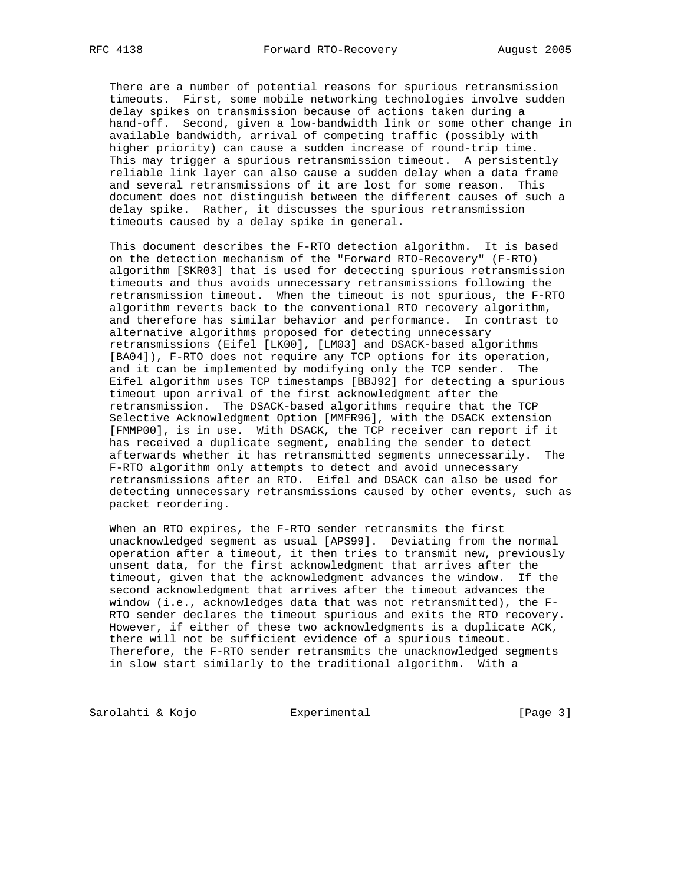There are a number of potential reasons for spurious retransmission timeouts. First, some mobile networking technologies involve sudden delay spikes on transmission because of actions taken during a hand-off. Second, given a low-bandwidth link or some other change in available bandwidth, arrival of competing traffic (possibly with higher priority) can cause a sudden increase of round-trip time. This may trigger a spurious retransmission timeout. A persistently reliable link layer can also cause a sudden delay when a data frame and several retransmissions of it are lost for some reason. This document does not distinguish between the different causes of such a delay spike. Rather, it discusses the spurious retransmission timeouts caused by a delay spike in general.

 This document describes the F-RTO detection algorithm. It is based on the detection mechanism of the "Forward RTO-Recovery" (F-RTO) algorithm [SKR03] that is used for detecting spurious retransmission timeouts and thus avoids unnecessary retransmissions following the retransmission timeout. When the timeout is not spurious, the F-RTO algorithm reverts back to the conventional RTO recovery algorithm, and therefore has similar behavior and performance. In contrast to alternative algorithms proposed for detecting unnecessary retransmissions (Eifel [LK00], [LM03] and DSACK-based algorithms [BA04]), F-RTO does not require any TCP options for its operation, and it can be implemented by modifying only the TCP sender. The Eifel algorithm uses TCP timestamps [BBJ92] for detecting a spurious timeout upon arrival of the first acknowledgment after the retransmission. The DSACK-based algorithms require that the TCP Selective Acknowledgment Option [MMFR96], with the DSACK extension [FMMP00], is in use. With DSACK, the TCP receiver can report if it has received a duplicate segment, enabling the sender to detect afterwards whether it has retransmitted segments unnecessarily. The F-RTO algorithm only attempts to detect and avoid unnecessary retransmissions after an RTO. Eifel and DSACK can also be used for detecting unnecessary retransmissions caused by other events, such as packet reordering.

 When an RTO expires, the F-RTO sender retransmits the first unacknowledged segment as usual [APS99]. Deviating from the normal operation after a timeout, it then tries to transmit new, previously unsent data, for the first acknowledgment that arrives after the timeout, given that the acknowledgment advances the window. If the second acknowledgment that arrives after the timeout advances the window (i.e., acknowledges data that was not retransmitted), the F- RTO sender declares the timeout spurious and exits the RTO recovery. However, if either of these two acknowledgments is a duplicate ACK, there will not be sufficient evidence of a spurious timeout. Therefore, the F-RTO sender retransmits the unacknowledged segments in slow start similarly to the traditional algorithm. With a

Sarolahti & Kojo  $\qquad \qquad$  Experimental  $\qquad \qquad$  [Page 3]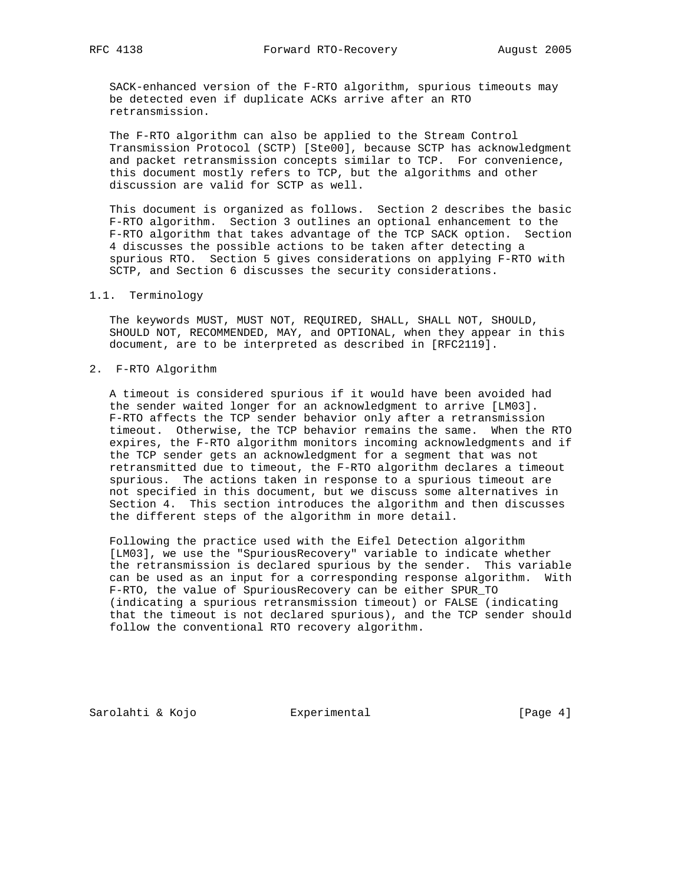SACK-enhanced version of the F-RTO algorithm, spurious timeouts may be detected even if duplicate ACKs arrive after an RTO retransmission.

 The F-RTO algorithm can also be applied to the Stream Control Transmission Protocol (SCTP) [Ste00], because SCTP has acknowledgment and packet retransmission concepts similar to TCP. For convenience, this document mostly refers to TCP, but the algorithms and other discussion are valid for SCTP as well.

 This document is organized as follows. Section 2 describes the basic F-RTO algorithm. Section 3 outlines an optional enhancement to the F-RTO algorithm that takes advantage of the TCP SACK option. Section 4 discusses the possible actions to be taken after detecting a spurious RTO. Section 5 gives considerations on applying F-RTO with SCTP, and Section 6 discusses the security considerations.

#### 1.1. Terminology

 The keywords MUST, MUST NOT, REQUIRED, SHALL, SHALL NOT, SHOULD, SHOULD NOT, RECOMMENDED, MAY, and OPTIONAL, when they appear in this document, are to be interpreted as described in [RFC2119].

#### 2. F-RTO Algorithm

 A timeout is considered spurious if it would have been avoided had the sender waited longer for an acknowledgment to arrive [LM03]. F-RTO affects the TCP sender behavior only after a retransmission timeout. Otherwise, the TCP behavior remains the same. When the RTO expires, the F-RTO algorithm monitors incoming acknowledgments and if the TCP sender gets an acknowledgment for a segment that was not retransmitted due to timeout, the F-RTO algorithm declares a timeout spurious. The actions taken in response to a spurious timeout are not specified in this document, but we discuss some alternatives in Section 4. This section introduces the algorithm and then discusses the different steps of the algorithm in more detail.

 Following the practice used with the Eifel Detection algorithm [LM03], we use the "SpuriousRecovery" variable to indicate whether the retransmission is declared spurious by the sender. This variable can be used as an input for a corresponding response algorithm. With F-RTO, the value of SpuriousRecovery can be either SPUR\_TO (indicating a spurious retransmission timeout) or FALSE (indicating that the timeout is not declared spurious), and the TCP sender should follow the conventional RTO recovery algorithm.

Sarolahti & Kojo  $\qquad \qquad$  Experimental  $\qquad \qquad$  [Page 4]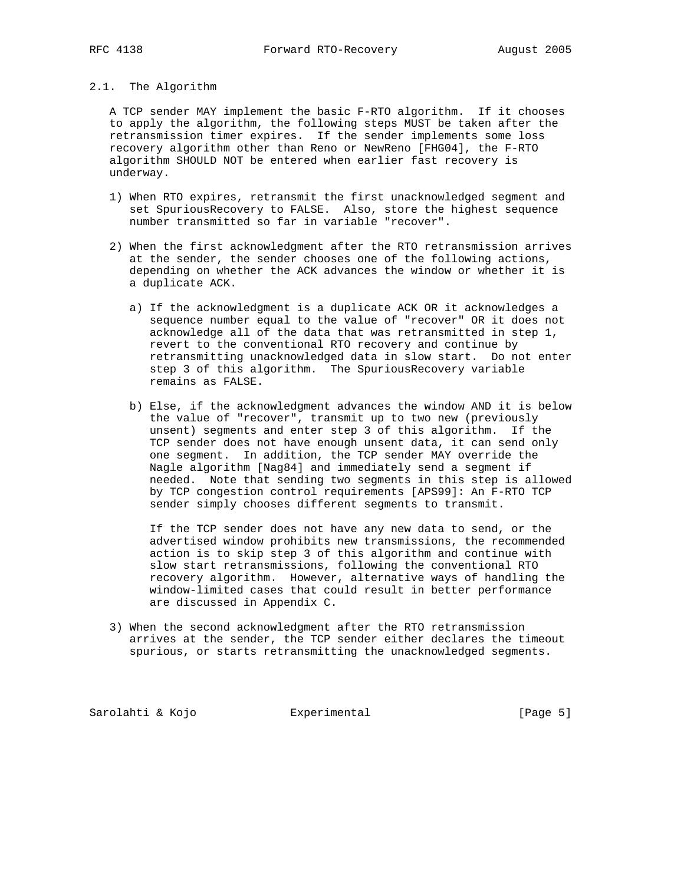# 2.1. The Algorithm

 A TCP sender MAY implement the basic F-RTO algorithm. If it chooses to apply the algorithm, the following steps MUST be taken after the retransmission timer expires. If the sender implements some loss recovery algorithm other than Reno or NewReno [FHG04], the F-RTO algorithm SHOULD NOT be entered when earlier fast recovery is underway.

- 1) When RTO expires, retransmit the first unacknowledged segment and set SpuriousRecovery to FALSE. Also, store the highest sequence number transmitted so far in variable "recover".
- 2) When the first acknowledgment after the RTO retransmission arrives at the sender, the sender chooses one of the following actions, depending on whether the ACK advances the window or whether it is a duplicate ACK.
	- a) If the acknowledgment is a duplicate ACK OR it acknowledges a sequence number equal to the value of "recover" OR it does not acknowledge all of the data that was retransmitted in step 1, revert to the conventional RTO recovery and continue by retransmitting unacknowledged data in slow start. Do not enter step 3 of this algorithm. The SpuriousRecovery variable remains as FALSE.
	- b) Else, if the acknowledgment advances the window AND it is below the value of "recover", transmit up to two new (previously unsent) segments and enter step 3 of this algorithm. If the TCP sender does not have enough unsent data, it can send only one segment. In addition, the TCP sender MAY override the Nagle algorithm [Nag84] and immediately send a segment if needed. Note that sending two segments in this step is allowed by TCP congestion control requirements [APS99]: An F-RTO TCP sender simply chooses different segments to transmit.

 If the TCP sender does not have any new data to send, or the advertised window prohibits new transmissions, the recommended action is to skip step 3 of this algorithm and continue with slow start retransmissions, following the conventional RTO recovery algorithm. However, alternative ways of handling the window-limited cases that could result in better performance are discussed in Appendix C.

 3) When the second acknowledgment after the RTO retransmission arrives at the sender, the TCP sender either declares the timeout spurious, or starts retransmitting the unacknowledged segments.

Sarolahti & Kojo  $\qquad \qquad$  Experimental  $\qquad \qquad$  [Page 5]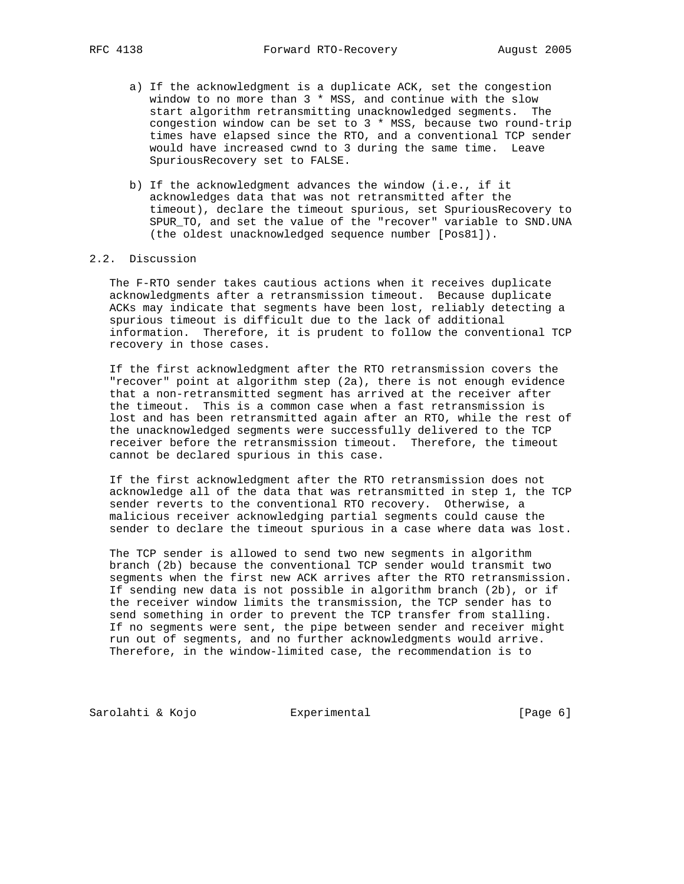- a) If the acknowledgment is a duplicate ACK, set the congestion window to no more than 3 \* MSS, and continue with the slow start algorithm retransmitting unacknowledged segments. The congestion window can be set to 3 \* MSS, because two round-trip times have elapsed since the RTO, and a conventional TCP sender would have increased cwnd to 3 during the same time. Leave SpuriousRecovery set to FALSE.
- b) If the acknowledgment advances the window (i.e., if it acknowledges data that was not retransmitted after the timeout), declare the timeout spurious, set SpuriousRecovery to SPUR\_TO, and set the value of the "recover" variable to SND.UNA (the oldest unacknowledged sequence number [Pos81]).

#### 2.2. Discussion

 The F-RTO sender takes cautious actions when it receives duplicate acknowledgments after a retransmission timeout. Because duplicate ACKs may indicate that segments have been lost, reliably detecting a spurious timeout is difficult due to the lack of additional information. Therefore, it is prudent to follow the conventional TCP recovery in those cases.

 If the first acknowledgment after the RTO retransmission covers the "recover" point at algorithm step (2a), there is not enough evidence that a non-retransmitted segment has arrived at the receiver after the timeout. This is a common case when a fast retransmission is lost and has been retransmitted again after an RTO, while the rest of the unacknowledged segments were successfully delivered to the TCP receiver before the retransmission timeout. Therefore, the timeout cannot be declared spurious in this case.

 If the first acknowledgment after the RTO retransmission does not acknowledge all of the data that was retransmitted in step 1, the TCP sender reverts to the conventional RTO recovery. Otherwise, a malicious receiver acknowledging partial segments could cause the sender to declare the timeout spurious in a case where data was lost.

 The TCP sender is allowed to send two new segments in algorithm branch (2b) because the conventional TCP sender would transmit two segments when the first new ACK arrives after the RTO retransmission. If sending new data is not possible in algorithm branch (2b), or if the receiver window limits the transmission, the TCP sender has to send something in order to prevent the TCP transfer from stalling. If no segments were sent, the pipe between sender and receiver might run out of segments, and no further acknowledgments would arrive. Therefore, in the window-limited case, the recommendation is to

Sarolahti & Kojo **Experimental** [Page 6]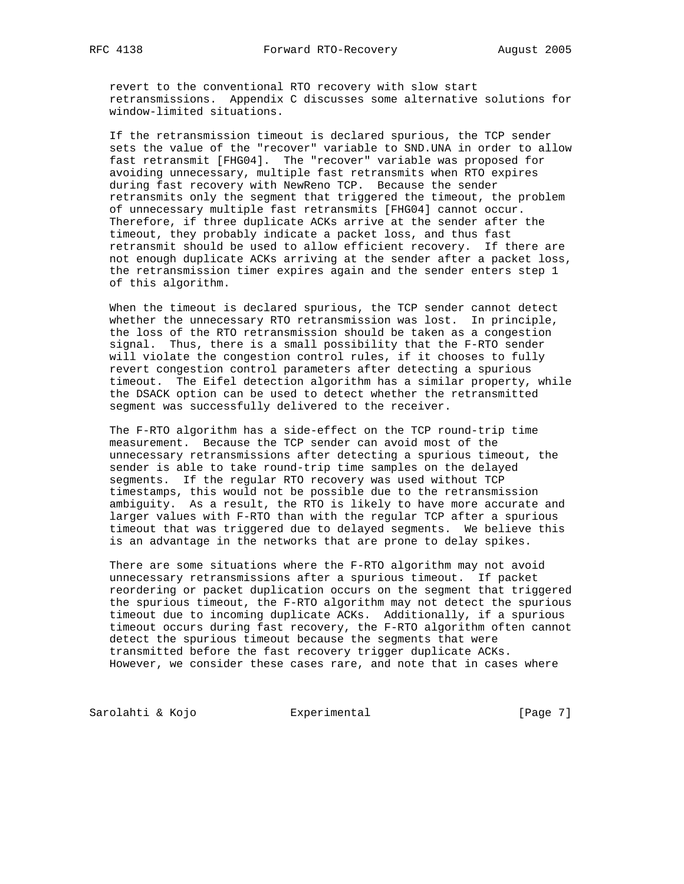revert to the conventional RTO recovery with slow start retransmissions. Appendix C discusses some alternative solutions for window-limited situations.

 If the retransmission timeout is declared spurious, the TCP sender sets the value of the "recover" variable to SND.UNA in order to allow fast retransmit [FHG04]. The "recover" variable was proposed for avoiding unnecessary, multiple fast retransmits when RTO expires during fast recovery with NewReno TCP. Because the sender retransmits only the segment that triggered the timeout, the problem of unnecessary multiple fast retransmits [FHG04] cannot occur. Therefore, if three duplicate ACKs arrive at the sender after the timeout, they probably indicate a packet loss, and thus fast retransmit should be used to allow efficient recovery. If there are not enough duplicate ACKs arriving at the sender after a packet loss, the retransmission timer expires again and the sender enters step 1 of this algorithm.

 When the timeout is declared spurious, the TCP sender cannot detect whether the unnecessary RTO retransmission was lost. In principle, the loss of the RTO retransmission should be taken as a congestion signal. Thus, there is a small possibility that the F-RTO sender will violate the congestion control rules, if it chooses to fully revert congestion control parameters after detecting a spurious timeout. The Eifel detection algorithm has a similar property, while the DSACK option can be used to detect whether the retransmitted segment was successfully delivered to the receiver.

 The F-RTO algorithm has a side-effect on the TCP round-trip time measurement. Because the TCP sender can avoid most of the unnecessary retransmissions after detecting a spurious timeout, the sender is able to take round-trip time samples on the delayed segments. If the regular RTO recovery was used without TCP timestamps, this would not be possible due to the retransmission ambiguity. As a result, the RTO is likely to have more accurate and larger values with F-RTO than with the regular TCP after a spurious timeout that was triggered due to delayed segments. We believe this is an advantage in the networks that are prone to delay spikes.

 There are some situations where the F-RTO algorithm may not avoid unnecessary retransmissions after a spurious timeout. If packet reordering or packet duplication occurs on the segment that triggered the spurious timeout, the F-RTO algorithm may not detect the spurious timeout due to incoming duplicate ACKs. Additionally, if a spurious timeout occurs during fast recovery, the F-RTO algorithm often cannot detect the spurious timeout because the segments that were transmitted before the fast recovery trigger duplicate ACKs. However, we consider these cases rare, and note that in cases where

Sarolahti & Kojo  $\qquad \qquad$  Experimental  $\qquad \qquad$  [Page 7]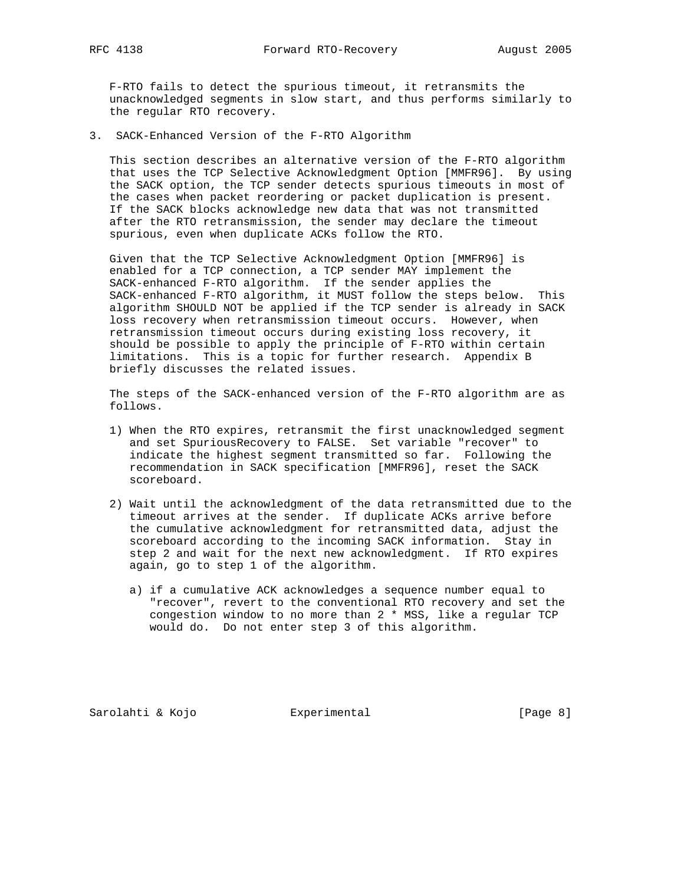F-RTO fails to detect the spurious timeout, it retransmits the unacknowledged segments in slow start, and thus performs similarly to the regular RTO recovery.

3. SACK-Enhanced Version of the F-RTO Algorithm

 This section describes an alternative version of the F-RTO algorithm that uses the TCP Selective Acknowledgment Option [MMFR96]. By using the SACK option, the TCP sender detects spurious timeouts in most of the cases when packet reordering or packet duplication is present. If the SACK blocks acknowledge new data that was not transmitted after the RTO retransmission, the sender may declare the timeout spurious, even when duplicate ACKs follow the RTO.

 Given that the TCP Selective Acknowledgment Option [MMFR96] is enabled for a TCP connection, a TCP sender MAY implement the SACK-enhanced F-RTO algorithm. If the sender applies the SACK-enhanced F-RTO algorithm, it MUST follow the steps below. This algorithm SHOULD NOT be applied if the TCP sender is already in SACK loss recovery when retransmission timeout occurs. However, when retransmission timeout occurs during existing loss recovery, it should be possible to apply the principle of F-RTO within certain limitations. This is a topic for further research. Appendix B briefly discusses the related issues.

 The steps of the SACK-enhanced version of the F-RTO algorithm are as follows.

- 1) When the RTO expires, retransmit the first unacknowledged segment and set SpuriousRecovery to FALSE. Set variable "recover" to indicate the highest segment transmitted so far. Following the recommendation in SACK specification [MMFR96], reset the SACK scoreboard.
- 2) Wait until the acknowledgment of the data retransmitted due to the timeout arrives at the sender. If duplicate ACKs arrive before the cumulative acknowledgment for retransmitted data, adjust the scoreboard according to the incoming SACK information. Stay in step 2 and wait for the next new acknowledgment. If RTO expires again, go to step 1 of the algorithm.
	- a) if a cumulative ACK acknowledges a sequence number equal to "recover", revert to the conventional RTO recovery and set the congestion window to no more than 2 \* MSS, like a regular TCP would do. Do not enter step 3 of this algorithm.

Sarolahti & Kojo **Experimental** [Page 8]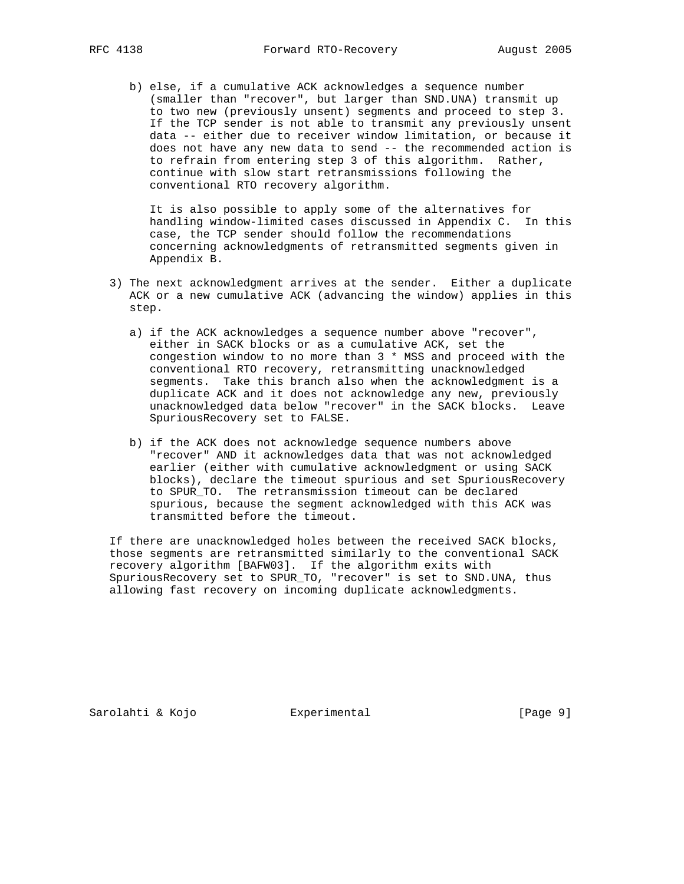b) else, if a cumulative ACK acknowledges a sequence number (smaller than "recover", but larger than SND.UNA) transmit up to two new (previously unsent) segments and proceed to step 3. If the TCP sender is not able to transmit any previously unsent data -- either due to receiver window limitation, or because it does not have any new data to send -- the recommended action is to refrain from entering step 3 of this algorithm. Rather, continue with slow start retransmissions following the conventional RTO recovery algorithm.

 It is also possible to apply some of the alternatives for handling window-limited cases discussed in Appendix C. In this case, the TCP sender should follow the recommendations concerning acknowledgments of retransmitted segments given in Appendix B.

- 3) The next acknowledgment arrives at the sender. Either a duplicate ACK or a new cumulative ACK (advancing the window) applies in this step.
	- a) if the ACK acknowledges a sequence number above "recover", either in SACK blocks or as a cumulative ACK, set the congestion window to no more than 3 \* MSS and proceed with the conventional RTO recovery, retransmitting unacknowledged segments. Take this branch also when the acknowledgment is a duplicate ACK and it does not acknowledge any new, previously unacknowledged data below "recover" in the SACK blocks. Leave SpuriousRecovery set to FALSE.
	- b) if the ACK does not acknowledge sequence numbers above "recover" AND it acknowledges data that was not acknowledged earlier (either with cumulative acknowledgment or using SACK blocks), declare the timeout spurious and set SpuriousRecovery to SPUR\_TO. The retransmission timeout can be declared spurious, because the segment acknowledged with this ACK was transmitted before the timeout.

 If there are unacknowledged holes between the received SACK blocks, those segments are retransmitted similarly to the conventional SACK recovery algorithm [BAFW03]. If the algorithm exits with SpuriousRecovery set to SPUR\_TO, "recover" is set to SND.UNA, thus allowing fast recovery on incoming duplicate acknowledgments.

Sarolahti & Kojo  $\qquad \qquad$  Experimental  $\qquad \qquad$  [Page 9]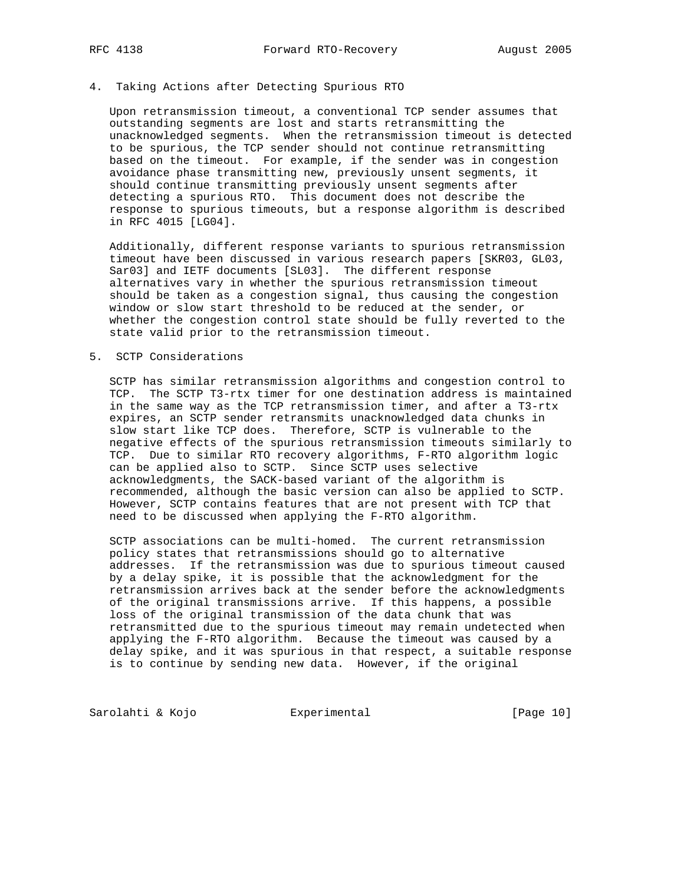### 4. Taking Actions after Detecting Spurious RTO

 Upon retransmission timeout, a conventional TCP sender assumes that outstanding segments are lost and starts retransmitting the unacknowledged segments. When the retransmission timeout is detected to be spurious, the TCP sender should not continue retransmitting based on the timeout. For example, if the sender was in congestion avoidance phase transmitting new, previously unsent segments, it should continue transmitting previously unsent segments after detecting a spurious RTO. This document does not describe the response to spurious timeouts, but a response algorithm is described in RFC 4015 [LG04].

 Additionally, different response variants to spurious retransmission timeout have been discussed in various research papers [SKR03, GL03, Sar03] and IETF documents [SL03]. The different response alternatives vary in whether the spurious retransmission timeout should be taken as a congestion signal, thus causing the congestion window or slow start threshold to be reduced at the sender, or whether the congestion control state should be fully reverted to the state valid prior to the retransmission timeout.

#### 5. SCTP Considerations

 SCTP has similar retransmission algorithms and congestion control to TCP. The SCTP T3-rtx timer for one destination address is maintained in the same way as the TCP retransmission timer, and after a T3-rtx expires, an SCTP sender retransmits unacknowledged data chunks in slow start like TCP does. Therefore, SCTP is vulnerable to the negative effects of the spurious retransmission timeouts similarly to TCP. Due to similar RTO recovery algorithms, F-RTO algorithm logic can be applied also to SCTP. Since SCTP uses selective acknowledgments, the SACK-based variant of the algorithm is recommended, although the basic version can also be applied to SCTP. However, SCTP contains features that are not present with TCP that need to be discussed when applying the F-RTO algorithm.

 SCTP associations can be multi-homed. The current retransmission policy states that retransmissions should go to alternative addresses. If the retransmission was due to spurious timeout caused by a delay spike, it is possible that the acknowledgment for the retransmission arrives back at the sender before the acknowledgments of the original transmissions arrive. If this happens, a possible loss of the original transmission of the data chunk that was retransmitted due to the spurious timeout may remain undetected when applying the F-RTO algorithm. Because the timeout was caused by a delay spike, and it was spurious in that respect, a suitable response is to continue by sending new data. However, if the original

Sarolahti & Kojo  $\qquad \qquad$  Experimental  $\qquad \qquad$  [Page 10]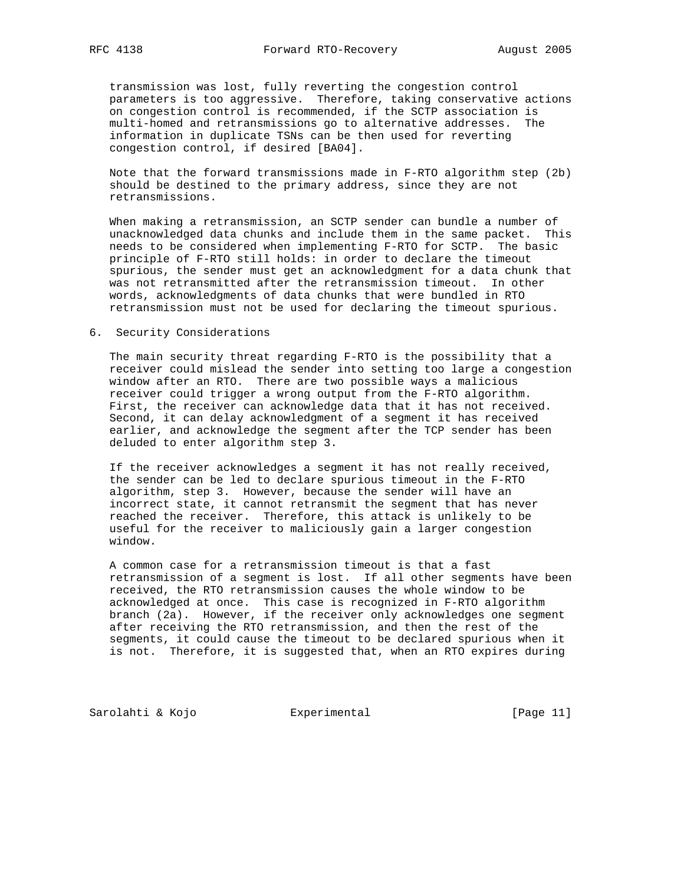transmission was lost, fully reverting the congestion control parameters is too aggressive. Therefore, taking conservative actions on congestion control is recommended, if the SCTP association is multi-homed and retransmissions go to alternative addresses. The information in duplicate TSNs can be then used for reverting congestion control, if desired [BA04].

 Note that the forward transmissions made in F-RTO algorithm step (2b) should be destined to the primary address, since they are not retransmissions.

 When making a retransmission, an SCTP sender can bundle a number of unacknowledged data chunks and include them in the same packet. This needs to be considered when implementing F-RTO for SCTP. The basic principle of F-RTO still holds: in order to declare the timeout spurious, the sender must get an acknowledgment for a data chunk that was not retransmitted after the retransmission timeout. In other words, acknowledgments of data chunks that were bundled in RTO retransmission must not be used for declaring the timeout spurious.

#### 6. Security Considerations

 The main security threat regarding F-RTO is the possibility that a receiver could mislead the sender into setting too large a congestion window after an RTO. There are two possible ways a malicious receiver could trigger a wrong output from the F-RTO algorithm. First, the receiver can acknowledge data that it has not received. Second, it can delay acknowledgment of a segment it has received earlier, and acknowledge the segment after the TCP sender has been deluded to enter algorithm step 3.

 If the receiver acknowledges a segment it has not really received, the sender can be led to declare spurious timeout in the F-RTO algorithm, step 3. However, because the sender will have an incorrect state, it cannot retransmit the segment that has never reached the receiver. Therefore, this attack is unlikely to be useful for the receiver to maliciously gain a larger congestion window.

 A common case for a retransmission timeout is that a fast retransmission of a segment is lost. If all other segments have been received, the RTO retransmission causes the whole window to be acknowledged at once. This case is recognized in F-RTO algorithm branch (2a). However, if the receiver only acknowledges one segment after receiving the RTO retransmission, and then the rest of the segments, it could cause the timeout to be declared spurious when it is not. Therefore, it is suggested that, when an RTO expires during

Sarolahti & Kojo Experimental [Page 11]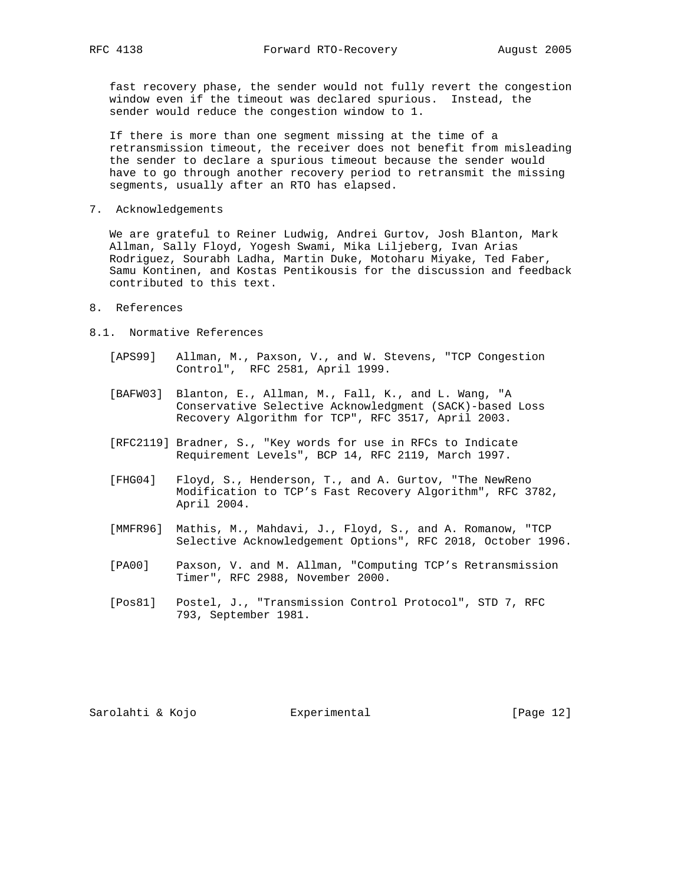fast recovery phase, the sender would not fully revert the congestion window even if the timeout was declared spurious. Instead, the sender would reduce the congestion window to 1.

 If there is more than one segment missing at the time of a retransmission timeout, the receiver does not benefit from misleading the sender to declare a spurious timeout because the sender would have to go through another recovery period to retransmit the missing segments, usually after an RTO has elapsed.

7. Acknowledgements

 We are grateful to Reiner Ludwig, Andrei Gurtov, Josh Blanton, Mark Allman, Sally Floyd, Yogesh Swami, Mika Liljeberg, Ivan Arias Rodriguez, Sourabh Ladha, Martin Duke, Motoharu Miyake, Ted Faber, Samu Kontinen, and Kostas Pentikousis for the discussion and feedback contributed to this text.

#### 8. References

- 8.1. Normative References
	- [APS99] Allman, M., Paxson, V., and W. Stevens, "TCP Congestion Control", RFC 2581, April 1999.
	- [BAFW03] Blanton, E., Allman, M., Fall, K., and L. Wang, "A Conservative Selective Acknowledgment (SACK)-based Loss Recovery Algorithm for TCP", RFC 3517, April 2003.
	- [RFC2119] Bradner, S., "Key words for use in RFCs to Indicate Requirement Levels", BCP 14, RFC 2119, March 1997.
	- [FHG04] Floyd, S., Henderson, T., and A. Gurtov, "The NewReno Modification to TCP's Fast Recovery Algorithm", RFC 3782, April 2004.
	- [MMFR96] Mathis, M., Mahdavi, J., Floyd, S., and A. Romanow, "TCP Selective Acknowledgement Options", RFC 2018, October 1996.
	- [PA00] Paxson, V. and M. Allman, "Computing TCP's Retransmission Timer", RFC 2988, November 2000.
	- [Pos81] Postel, J., "Transmission Control Protocol", STD 7, RFC 793, September 1981.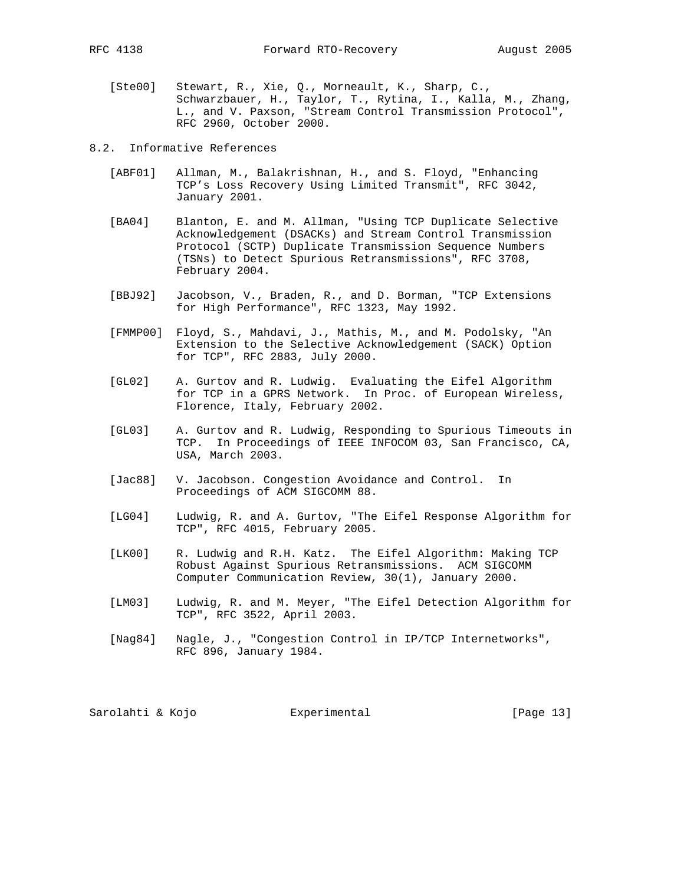- [Ste00] Stewart, R., Xie, Q., Morneault, K., Sharp, C., Schwarzbauer, H., Taylor, T., Rytina, I., Kalla, M., Zhang, L., and V. Paxson, "Stream Control Transmission Protocol", RFC 2960, October 2000.
- 8.2. Informative References
	- [ABF01] Allman, M., Balakrishnan, H., and S. Floyd, "Enhancing TCP's Loss Recovery Using Limited Transmit", RFC 3042, January 2001.
	- [BA04] Blanton, E. and M. Allman, "Using TCP Duplicate Selective Acknowledgement (DSACKs) and Stream Control Transmission Protocol (SCTP) Duplicate Transmission Sequence Numbers (TSNs) to Detect Spurious Retransmissions", RFC 3708, February 2004.
	- [BBJ92] Jacobson, V., Braden, R., and D. Borman, "TCP Extensions for High Performance", RFC 1323, May 1992.
	- [FMMP00] Floyd, S., Mahdavi, J., Mathis, M., and M. Podolsky, "An Extension to the Selective Acknowledgement (SACK) Option for TCP", RFC 2883, July 2000.
	- [GL02] A. Gurtov and R. Ludwig. Evaluating the Eifel Algorithm for TCP in a GPRS Network. In Proc. of European Wireless, Florence, Italy, February 2002.
	- [GL03] A. Gurtov and R. Ludwig, Responding to Spurious Timeouts in TCP. In Proceedings of IEEE INFOCOM 03, San Francisco, CA, USA, March 2003.
	- [Jac88] V. Jacobson. Congestion Avoidance and Control. In Proceedings of ACM SIGCOMM 88.
	- [LG04] Ludwig, R. and A. Gurtov, "The Eifel Response Algorithm for TCP", RFC 4015, February 2005.
	- [LK00] R. Ludwig and R.H. Katz. The Eifel Algorithm: Making TCP Robust Against Spurious Retransmissions. ACM SIGCOMM Computer Communication Review, 30(1), January 2000.
	- [LM03] Ludwig, R. and M. Meyer, "The Eifel Detection Algorithm for TCP", RFC 3522, April 2003.
	- [Nag84] Nagle, J., "Congestion Control in IP/TCP Internetworks", RFC 896, January 1984.

Sarolahti & Kojo Experimental [Page 13]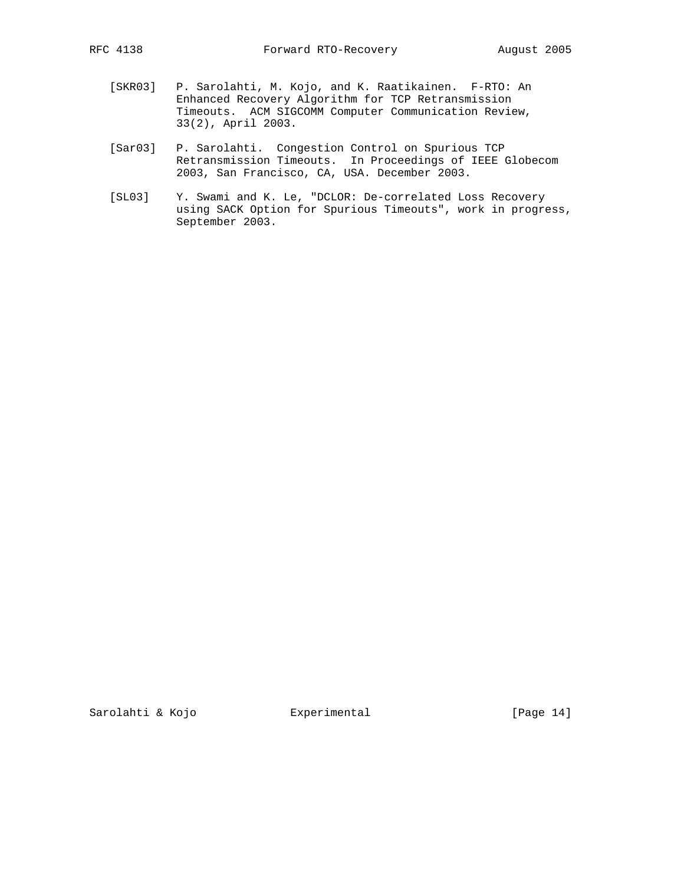- [SKR03] P. Sarolahti, M. Kojo, and K. Raatikainen. F-RTO: An Enhanced Recovery Algorithm for TCP Retransmission Timeouts. ACM SIGCOMM Computer Communication Review, 33(2), April 2003.
- [Sar03] P. Sarolahti. Congestion Control on Spurious TCP Retransmission Timeouts. In Proceedings of IEEE Globecom 2003, San Francisco, CA, USA. December 2003.
- [SL03] Y. Swami and K. Le, "DCLOR: De-correlated Loss Recovery using SACK Option for Spurious Timeouts", work in progress, September 2003.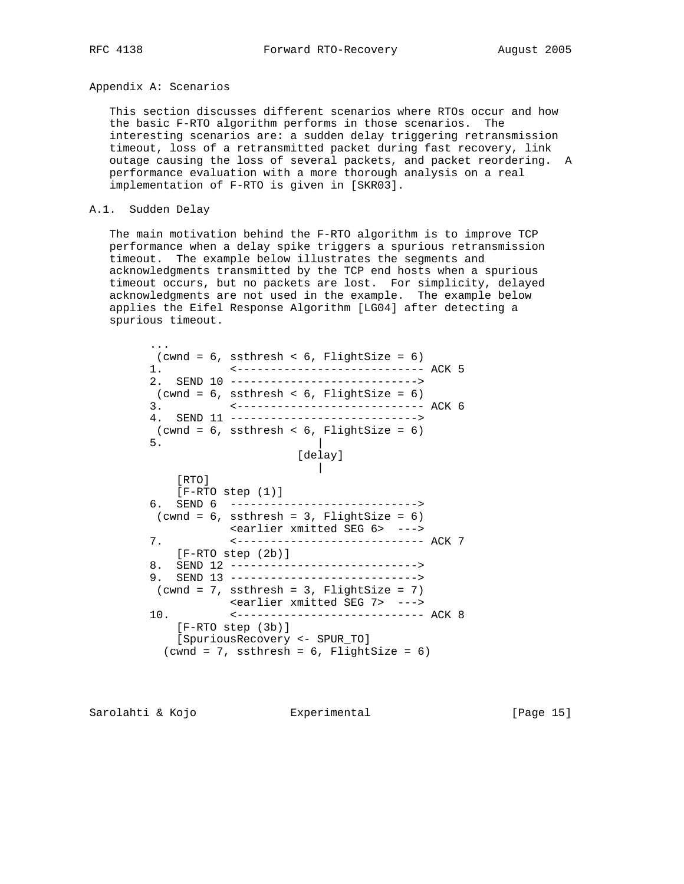#### Appendix A: Scenarios

 This section discusses different scenarios where RTOs occur and how the basic F-RTO algorithm performs in those scenarios. The interesting scenarios are: a sudden delay triggering retransmission timeout, loss of a retransmitted packet during fast recovery, link outage causing the loss of several packets, and packet reordering. A performance evaluation with a more thorough analysis on a real implementation of F-RTO is given in [SKR03].

#### A.1. Sudden Delay

 The main motivation behind the F-RTO algorithm is to improve TCP performance when a delay spike triggers a spurious retransmission timeout. The example below illustrates the segments and acknowledgments transmitted by the TCP end hosts when a spurious timeout occurs, but no packets are lost. For simplicity, delayed acknowledgments are not used in the example. The example below applies the Eifel Response Algorithm [LG04] after detecting a spurious timeout.

 ...  $(cwnd = 6, ssthresh < 6, FilightSize = 6)$  1. <---------------------------- ACK 5 2. SEND 10 ---------------------------->  $(cwnd = 6, \text{ ssthresh} < 6, \text{ FlightSize} = 6)$  3. <---------------------------- ACK 6 4. SEND 11 ----------------------------> (cwnd = 6, ssthresh < 6, FlightSize = 6)  $5.$  [delay] | [RTO] [F-RTO step (1)] 6. SEND 6 ---------------------------->  $(cwnd = 6, \text{ssthresh} = 3, \text{FlightSize} = 6)$  <earlier xmitted SEG 6> ---> 7. <---------------------------- ACK 7 [F-RTO step (2b)] 8. SEND 12 ----------------------------> 9. SEND 13 ---------------------------->  $(cwnd = 7, ssthresh = 3, FilightSize = 7)$  <earlier xmitted SEG 7> ---> 10. <---------------------------- ACK 8 [F-RTO step (3b)] [SpuriousRecovery <- SPUR\_TO]  $(cwnd = 7, ssthresh = 6, FilightSize = 6)$ 

Sarolahti & Kojo Experimental [Page 15]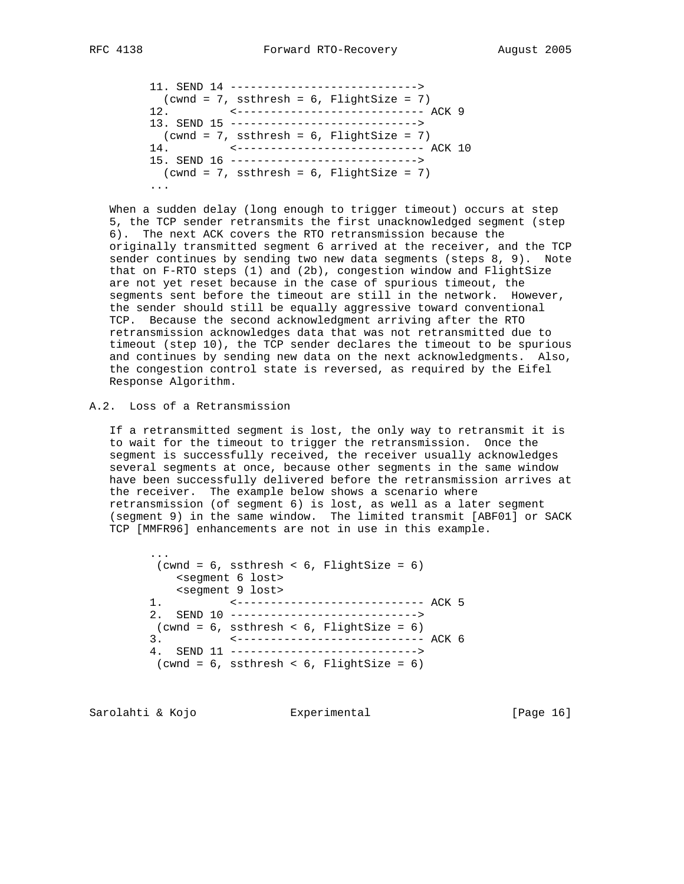```
 11. SEND 14 ---------------------------->
(cwnd = 7, ssthresh = 6, FilightSize = 7) 12. <---------------------------- ACK 9
13. SEND 15 ---------------------------->
(cwnd = 7, ssthresh = 6, FilightSize = 7) 14. <---------------------------- ACK 10
15. SEND 16 ---------------------------->
(cwnd = 7, ssthresh = 6, FilightSize = 7) ...
```
 When a sudden delay (long enough to trigger timeout) occurs at step 5, the TCP sender retransmits the first unacknowledged segment (step 6). The next ACK covers the RTO retransmission because the originally transmitted segment 6 arrived at the receiver, and the TCP sender continues by sending two new data segments (steps 8, 9). Note that on F-RTO steps (1) and (2b), congestion window and FlightSize are not yet reset because in the case of spurious timeout, the segments sent before the timeout are still in the network. However, the sender should still be equally aggressive toward conventional TCP. Because the second acknowledgment arriving after the RTO retransmission acknowledges data that was not retransmitted due to timeout (step 10), the TCP sender declares the timeout to be spurious and continues by sending new data on the next acknowledgments. Also, the congestion control state is reversed, as required by the Eifel Response Algorithm.

A.2. Loss of a Retransmission

 If a retransmitted segment is lost, the only way to retransmit it is to wait for the timeout to trigger the retransmission. Once the segment is successfully received, the receiver usually acknowledges several segments at once, because other segments in the same window have been successfully delivered before the retransmission arrives at the receiver. The example below shows a scenario where retransmission (of segment 6) is lost, as well as a later segment (segment 9) in the same window. The limited transmit [ABF01] or SACK TCP [MMFR96] enhancements are not in use in this example.

 ...  $(cwnd = 6, ssthresh < 6, FilightSize = 6)$  <segment 6 lost> <segment 9 lost> 1. <---------------------------- ACK 5 2. SEND 10 ---------------------------->  $(cwnd = 6, ssthresh < 6, FilightSize = 6)$  3. <---------------------------- ACK 6 4. SEND 11 ---------------------------->  $(cwnd = 6, \text{ ssthresh} < 6, \text{ FlightSize} = 6)$ 

Sarolahti & Kojo Experimental [Page 16]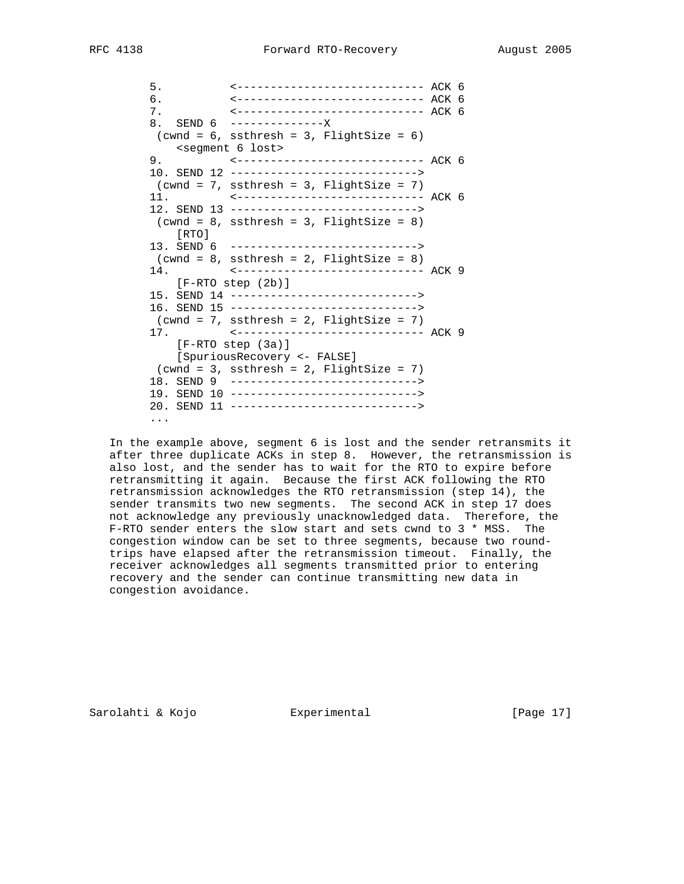5. <---------------------------- ACK 6 6. <---------------------------- ACK 6 7. <---------------------------- ACK 6 8. SEND 6 ----------------- $(cwnd = 6, ssthresh = 3, Filghtsize = 6)$  $s$  <segment 6 lost><br>9. 9. <---------------------------- ACK 6 10. SEND 12 ---------------------------->  $(cwnd = 7, ssthresh = 3, Filghtsize = 7)$  11. <---------------------------- ACK 6 12. SEND 13 ---------------------------->  $(cwnd = 8, ssthresh = 3, FilightSize = 8)$  [RTO] 13. SEND 6 ---------------------------->  $(cwnd = 8, \text{ ssthresh} = 2, \text{ FlightSize} = 8)$  14. <---------------------------- ACK 9 [F-RTO step (2b)] 15. SEND 14 ----------------------------> 16. SEND 15 ---------------------------->  $(cwnd = 7, ssthresh = 2, FilightSize = 7)$  17. <---------------------------- ACK 9 [F-RTO step (3a)] [SpuriousRecovery <- FALSE]  $(cwnd = 3, ssthresh = 2, FilightSize = 7)$  18. SEND 9 ----------------------------> 19. SEND 10 ----------------------------> 20. SEND 11 ----------------------------> ...

 In the example above, segment 6 is lost and the sender retransmits it after three duplicate ACKs in step 8. However, the retransmission is also lost, and the sender has to wait for the RTO to expire before retransmitting it again. Because the first ACK following the RTO retransmission acknowledges the RTO retransmission (step 14), the sender transmits two new segments. The second ACK in step 17 does not acknowledge any previously unacknowledged data. Therefore, the F-RTO sender enters the slow start and sets cwnd to 3 \* MSS. The congestion window can be set to three segments, because two round trips have elapsed after the retransmission timeout. Finally, the receiver acknowledges all segments transmitted prior to entering recovery and the sender can continue transmitting new data in congestion avoidance.

Sarolahti & Kojo Experimental [Page 17]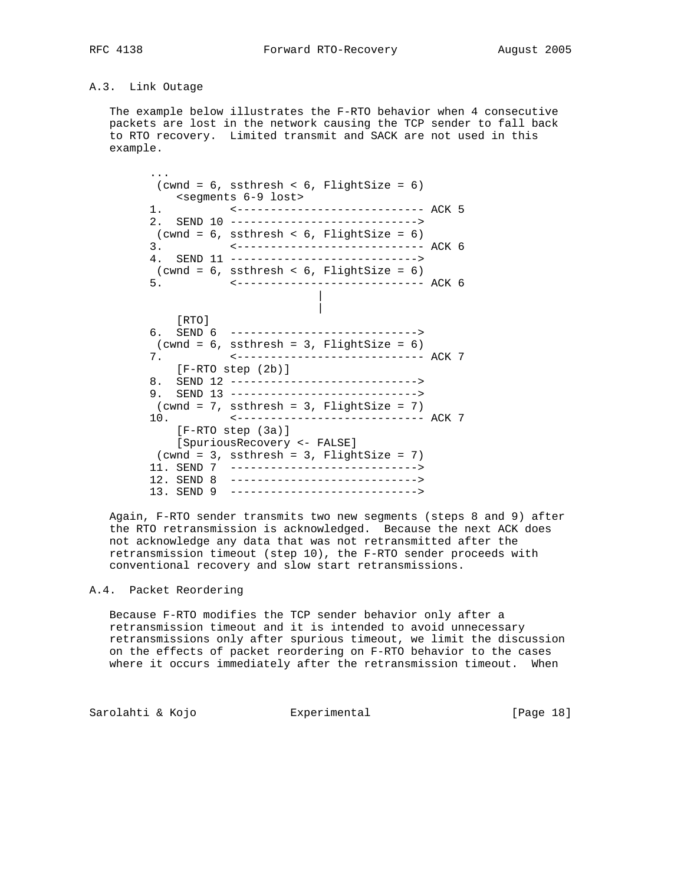# A.3. Link Outage

 The example below illustrates the F-RTO behavior when 4 consecutive packets are lost in the network causing the TCP sender to fall back to RTO recovery. Limited transmit and SACK are not used in this example.

 ...  $(cwnd = 6, \text{ ssthresh} < 6, \text{ FlightSize} = 6)$  <segments 6-9 lost> 1. <---------------------------- ACK 5 2. SEND 10 ----------------------------> (cwnd = 6, ssthresh < 6, FlightSize = 6) 3. <---------------------------- ACK 6 4. SEND 11 ---------------------------->  $(cwnd = 6, ssthresh < 6, FilightSize = 6)$  5. <---------------------------- ACK 6 | | [RTO] 6. SEND 6 ---------------------------->  $(cwnd = 6, ssthresh = 3, Filghtsize = 6)$  7. <---------------------------- ACK 7 [F-RTO step (2b)] 8. SEND 12 ----------------------------> 9. SEND 13 ---------------------------->  $(cwnd = 7, ssthresh = 3, Filghtsize = 7)$  10. <---------------------------- ACK 7 [F-RTO step (3a)] [SpuriousRecovery <- FALSE]  $(cwnd = 3, ssthresh = 3, Filghtsize = 7)$  11. SEND 7 ----------------------------> 12. SEND 8 ----------------------------> 13. SEND 9 ---------------------------->

 Again, F-RTO sender transmits two new segments (steps 8 and 9) after the RTO retransmission is acknowledged. Because the next ACK does not acknowledge any data that was not retransmitted after the retransmission timeout (step 10), the F-RTO sender proceeds with conventional recovery and slow start retransmissions.

## A.4. Packet Reordering

 Because F-RTO modifies the TCP sender behavior only after a retransmission timeout and it is intended to avoid unnecessary retransmissions only after spurious timeout, we limit the discussion on the effects of packet reordering on F-RTO behavior to the cases where it occurs immediately after the retransmission timeout. When

Sarolahti & Kojo Experimental [Page 18]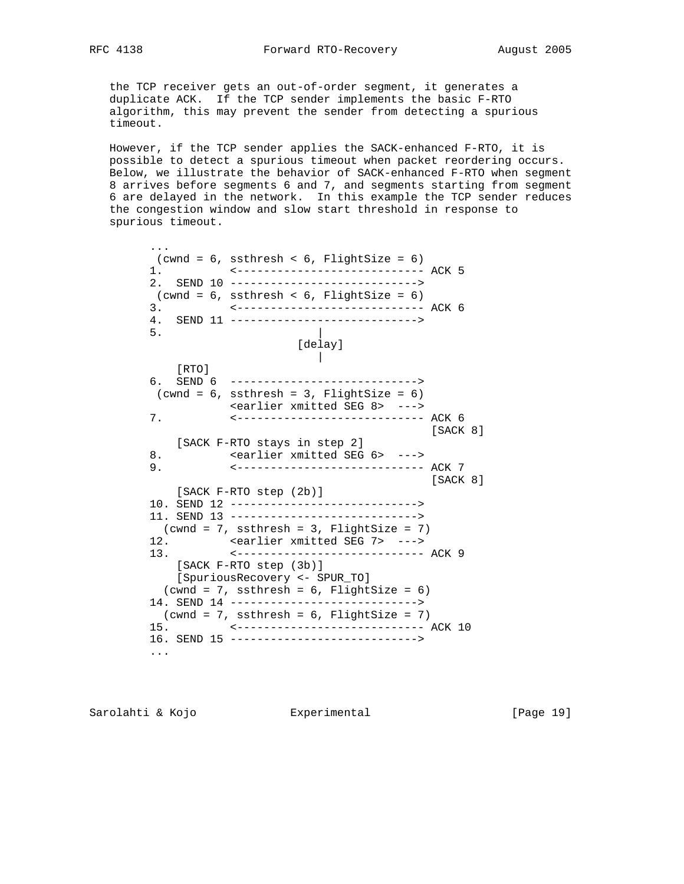the TCP receiver gets an out-of-order segment, it generates a duplicate ACK. If the TCP sender implements the basic F-RTO algorithm, this may prevent the sender from detecting a spurious timeout.

 However, if the TCP sender applies the SACK-enhanced F-RTO, it is possible to detect a spurious timeout when packet reordering occurs. Below, we illustrate the behavior of SACK-enhanced F-RTO when segment 8 arrives before segments 6 and 7, and segments starting from segment 6 are delayed in the network. In this example the TCP sender reduces the congestion window and slow start threshold in response to spurious timeout.

 ...  $(cwnd = 6, \text{ ssthresh} < 6, \text{ FlightSize} = 6)$  1. <---------------------------- ACK 5 2. SEND 10 ----------------------------> (cwnd = 6, ssthresh < 6, FlightSize = 6) 3. <---------------------------- ACK 6 4. SEND 11 ---------------------------->  $5.$  [delay] | [RTO] 6. SEND 6 ---------------------------->  $(cwnd = 6, ssthresh = 3, Filghtsize = 6)$  <earlier xmitted SEG 8> ---> 7. <---------------------------- ACK 6 [SACK 8] [SACK F-RTO stays in step 2] 8. Searlier xmitted SEG 6> ---> 9. <---------------------------- ACK 7 [SACK 8] [SACK F-RTO step (2b)] 10. SEND 12 ----------------------------> 11. SEND 13 ----------------------------> (cwnd = 7, ssthresh = 3, FlightSize = 7) 12. <earlier xmitted SEG 7> ---> 13. <---------------------------- ACK 9 [SACK F-RTO step (3b)] [SpuriousRecovery <- SPUR\_TO]  $(cwnd = 7, ssthresh = 6, FilightSize = 6)$  14. SEND 14 ---------------------------->  $(cwnd = 7, ssthresh = 6, FilightSize = 7)$  15. <---------------------------- ACK 10 16. SEND 15 ----------------------------> ...

Sarolahti & Kojo Experimental [Page 19]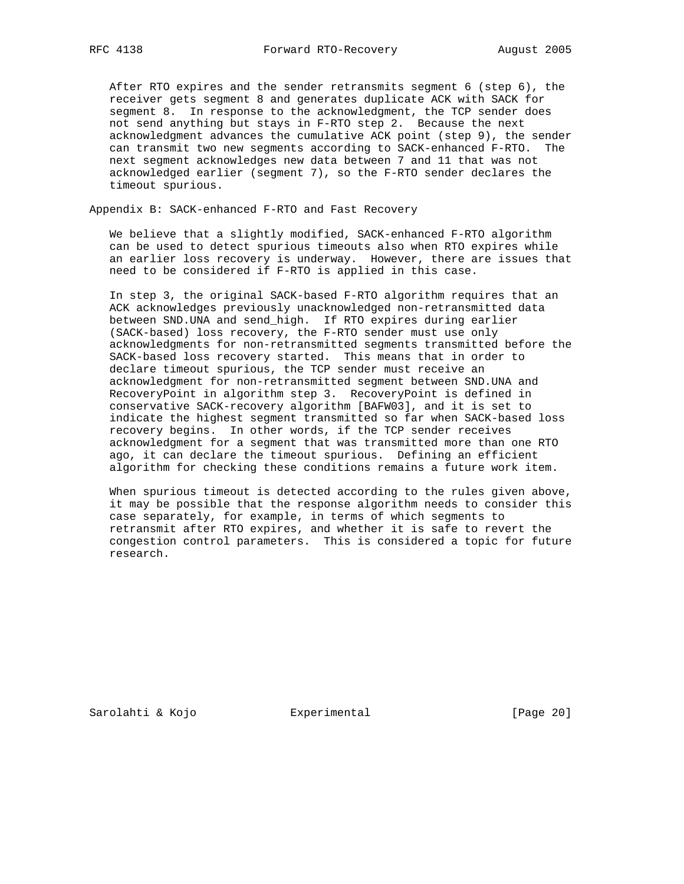After RTO expires and the sender retransmits segment 6 (step 6), the receiver gets segment 8 and generates duplicate ACK with SACK for segment 8. In response to the acknowledgment, the TCP sender does not send anything but stays in F-RTO step 2. Because the next acknowledgment advances the cumulative ACK point (step 9), the sender can transmit two new segments according to SACK-enhanced F-RTO. The next segment acknowledges new data between 7 and 11 that was not acknowledged earlier (segment 7), so the F-RTO sender declares the timeout spurious.

Appendix B: SACK-enhanced F-RTO and Fast Recovery

 We believe that a slightly modified, SACK-enhanced F-RTO algorithm can be used to detect spurious timeouts also when RTO expires while an earlier loss recovery is underway. However, there are issues that need to be considered if F-RTO is applied in this case.

 In step 3, the original SACK-based F-RTO algorithm requires that an ACK acknowledges previously unacknowledged non-retransmitted data between SND.UNA and send\_high. If RTO expires during earlier (SACK-based) loss recovery, the F-RTO sender must use only acknowledgments for non-retransmitted segments transmitted before the SACK-based loss recovery started. This means that in order to declare timeout spurious, the TCP sender must receive an acknowledgment for non-retransmitted segment between SND.UNA and RecoveryPoint in algorithm step 3. RecoveryPoint is defined in conservative SACK-recovery algorithm [BAFW03], and it is set to indicate the highest segment transmitted so far when SACK-based loss recovery begins. In other words, if the TCP sender receives acknowledgment for a segment that was transmitted more than one RTO ago, it can declare the timeout spurious. Defining an efficient algorithm for checking these conditions remains a future work item.

 When spurious timeout is detected according to the rules given above, it may be possible that the response algorithm needs to consider this case separately, for example, in terms of which segments to retransmit after RTO expires, and whether it is safe to revert the congestion control parameters. This is considered a topic for future research.

Sarolahti & Kojo Experimental [Page 20]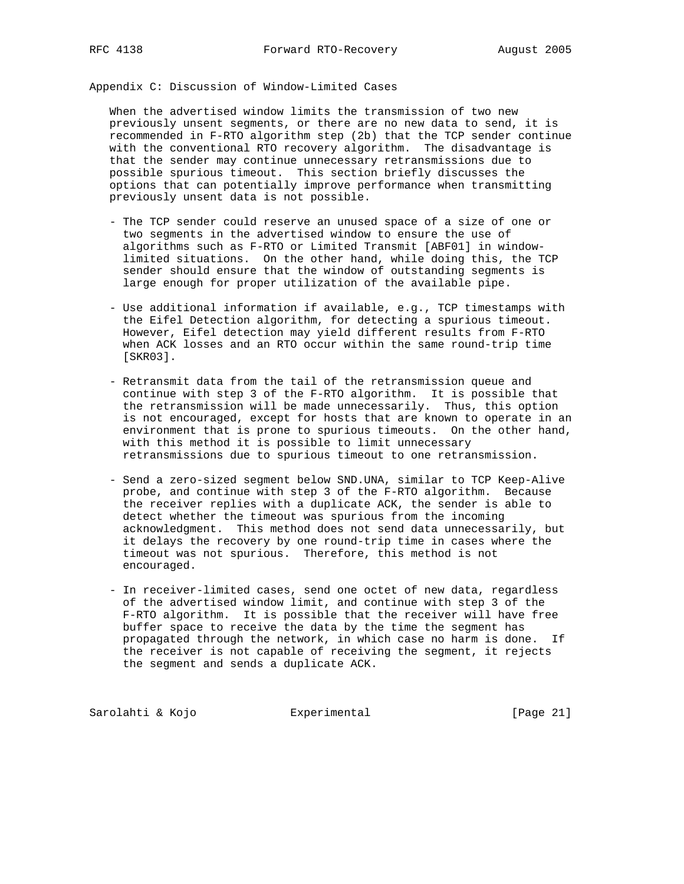Appendix C: Discussion of Window-Limited Cases

 When the advertised window limits the transmission of two new previously unsent segments, or there are no new data to send, it is recommended in F-RTO algorithm step (2b) that the TCP sender continue with the conventional RTO recovery algorithm. The disadvantage is that the sender may continue unnecessary retransmissions due to possible spurious timeout. This section briefly discusses the options that can potentially improve performance when transmitting previously unsent data is not possible.

- The TCP sender could reserve an unused space of a size of one or two segments in the advertised window to ensure the use of algorithms such as F-RTO or Limited Transmit [ABF01] in window limited situations. On the other hand, while doing this, the TCP sender should ensure that the window of outstanding segments is large enough for proper utilization of the available pipe.
- Use additional information if available, e.g., TCP timestamps with the Eifel Detection algorithm, for detecting a spurious timeout. However, Eifel detection may yield different results from F-RTO when ACK losses and an RTO occur within the same round-trip time [SKR03].
- Retransmit data from the tail of the retransmission queue and continue with step 3 of the F-RTO algorithm. It is possible that the retransmission will be made unnecessarily. Thus, this option is not encouraged, except for hosts that are known to operate in an environment that is prone to spurious timeouts. On the other hand, with this method it is possible to limit unnecessary retransmissions due to spurious timeout to one retransmission.
- Send a zero-sized segment below SND.UNA, similar to TCP Keep-Alive probe, and continue with step 3 of the F-RTO algorithm. Because the receiver replies with a duplicate ACK, the sender is able to detect whether the timeout was spurious from the incoming acknowledgment. This method does not send data unnecessarily, but it delays the recovery by one round-trip time in cases where the timeout was not spurious. Therefore, this method is not encouraged.
- In receiver-limited cases, send one octet of new data, regardless of the advertised window limit, and continue with step 3 of the F-RTO algorithm. It is possible that the receiver will have free buffer space to receive the data by the time the segment has propagated through the network, in which case no harm is done. If the receiver is not capable of receiving the segment, it rejects the segment and sends a duplicate ACK.

Sarolahti & Kojo  $\qquad \qquad$  Experimental  $\qquad \qquad$  [Page 21]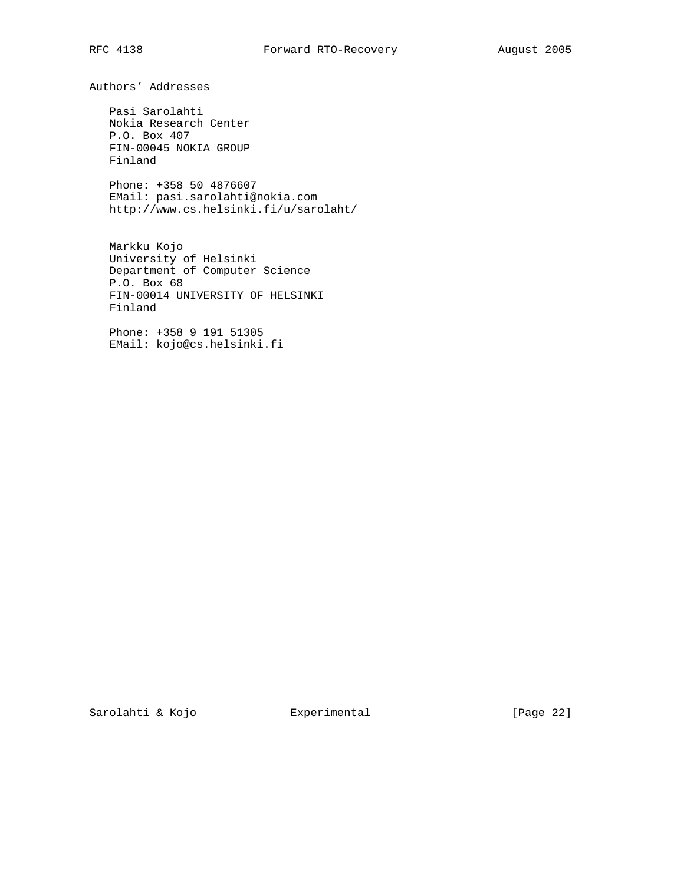Authors' Addresses

 Pasi Sarolahti Nokia Research Center P.O. Box 407 FIN-00045 NOKIA GROUP Finland

 Phone: +358 50 4876607 EMail: pasi.sarolahti@nokia.com http://www.cs.helsinki.fi/u/sarolaht/

 Markku Kojo University of Helsinki Department of Computer Science P.O. Box 68 FIN-00014 UNIVERSITY OF HELSINKI Finland

 Phone: +358 9 191 51305 EMail: kojo@cs.helsinki.fi

Sarolahti & Kojo Experimental [Page 22]